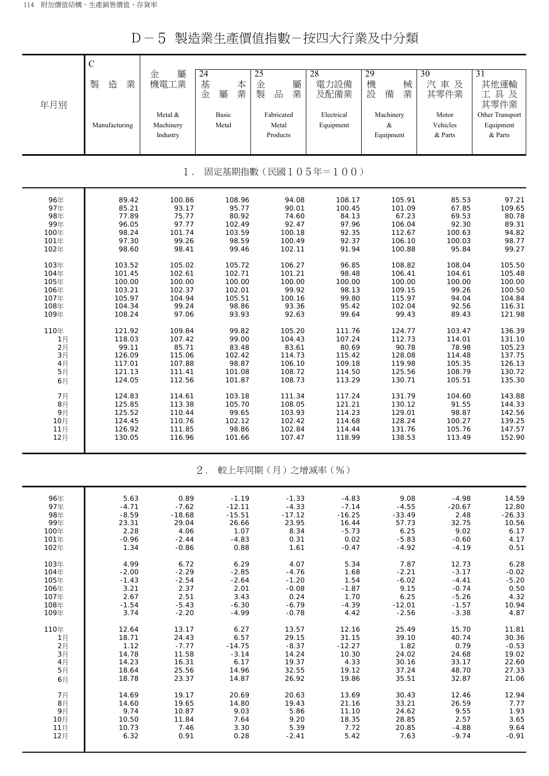D-5 製造業生產價值指數-按四大行業及中分類

| 年月別  | $\mathbf C$<br>業<br>製<br>造<br>Manufacturing | 屬<br>金<br>機電工業<br>Metal &<br>Machinery<br>Industry | 24<br>基<br>本業<br>金<br>屬<br>Basic<br>Metal | 25<br>金<br>屬<br>製<br>品<br>業<br>Fabricated<br>Metal<br>Products | 28<br>電力設備<br>及配備業<br>Electrical<br>Equipment | 29<br>機<br>械<br>設<br>業<br>備<br>Machinery<br>$\&$<br>Equipment | $\overline{30}$<br>汽車及<br>其零件業<br>Motor<br>Vehicles<br>& Parts | $\overline{31}$<br>其他運輸<br>工具及<br>其零件業<br>Other Transport<br>Equipment<br>& Parts |
|------|---------------------------------------------|----------------------------------------------------|-------------------------------------------|----------------------------------------------------------------|-----------------------------------------------|---------------------------------------------------------------|----------------------------------------------------------------|-----------------------------------------------------------------------------------|
|      |                                             | $1$ .                                              |                                           |                                                                | 固定基期指數(民國105年=100)                            |                                                               |                                                                |                                                                                   |
| 96年  | 89.42                                       | 100.86                                             | 108.96                                    | 94.08                                                          | 108.17                                        | 105.91                                                        | 85.53                                                          | 97.21                                                                             |
| 97年  | 85.21                                       | 93.17                                              | 95.77                                     | 90.01                                                          | 100.45                                        | 101.09                                                        | 67.85                                                          | 109.65                                                                            |
| 98年  | 77.89                                       | 75.77                                              | 80.92                                     | 74.60                                                          | 84.13                                         | 67.23                                                         | 69.53                                                          | 80.78                                                                             |
| 99年  | 96.05                                       | 97.77                                              | 102.49                                    | 92.47                                                          | 97.96                                         | 106.04                                                        | 92.30                                                          | 89.31                                                                             |
| 100年 | 98.24                                       | 101.74                                             | 103.59                                    | 100.18                                                         | 92.35                                         | 112.67                                                        | 100.63                                                         | 94.82                                                                             |
| 101年 | 97.30                                       | 99.26                                              | 98.59                                     | 100.49                                                         | 92.37                                         | 106.10                                                        | 100.03                                                         | 98.77                                                                             |
| 102年 | 98.60                                       | 98.41                                              | 99.46                                     | 102.11                                                         | 91.94                                         | 100.88                                                        | 95.84                                                          | 99.27                                                                             |
| 103年 | 103.52                                      | 105.02                                             | 105.72                                    | 106.27                                                         | 96.85                                         | 108.82                                                        | 108.04                                                         | 105.50                                                                            |
| 104年 | 101.45                                      | 102.61                                             | 102.71                                    | 101.21                                                         | 98.48                                         | 106.41                                                        | 104.61                                                         | 105.48                                                                            |
| 105年 | 100.00                                      | 100.00                                             | 100.00                                    | 100.00                                                         | 100.00                                        | 100.00                                                        | 100.00                                                         | 100.00                                                                            |
| 106年 | 103.21                                      | 102.37                                             | 102.01                                    | 99.92                                                          | 98.13                                         | 109.15                                                        | 99.26                                                          | 100.50                                                                            |
| 107年 | 105.97                                      | 104.94                                             | 105.51                                    | 100.16                                                         | 99.80                                         | 115.97                                                        | 94.04                                                          | 104.84                                                                            |
| 108年 | 104.34                                      | 99.24                                              | 98.86                                     | 93.36                                                          | 95.42                                         | 102.04                                                        | 92.56                                                          | 116.31                                                                            |
| 109年 | 108.24                                      | 97.06                                              | 93.93                                     | 92.63                                                          | 99.64                                         | 99.43                                                         | 89.43                                                          | 121.98                                                                            |
| 110年 | 121.92                                      | 109.84                                             | 99.82                                     | 105.20                                                         | 111.76                                        | 124.77                                                        | 103.47                                                         | 136.39                                                                            |
| 1月   | 118.03                                      | 107.42                                             | 99.00                                     | 104.43                                                         | 107.24                                        | 112.73                                                        | 114.01                                                         | 131.10                                                                            |
| 2月   | 99.11                                       | 85.71                                              | 83.48                                     | 83.61                                                          | 80.69                                         | 90.78                                                         | 78.98                                                          | 105.23                                                                            |
| 3月   | 126.09                                      | 115.06                                             | 102.42                                    | 114.73                                                         | 115.42                                        | 128.08                                                        | 114.48                                                         | 137.75                                                                            |
| 4月   | 117.01                                      | 107.88                                             | 98.87                                     | 106.10                                                         | 109.18                                        | 119.98                                                        | 105.35                                                         | 126.13                                                                            |
| 5月   | 121.13                                      | 111.41                                             | 101.08                                    | 108.72                                                         | 114.50                                        | 125.56                                                        | 108.79                                                         | 130.72                                                                            |
| 6月   | 124.05                                      | 112.56                                             | 101.87                                    | 108.73                                                         | 113.29                                        | 130.71                                                        | 105.51                                                         | 135.30                                                                            |
| 7月   | 124.83                                      | 114.61                                             | 103.18                                    | 111.34                                                         | 117.24                                        | 131.79                                                        | 104.60                                                         | 143.88                                                                            |
| 8月   | 125.85                                      | 113.38                                             | 105.70                                    | 108.05                                                         | 121.21                                        | 130.12                                                        | 91.55                                                          | 144.33                                                                            |
| 9月   | 125.52                                      | 110.44                                             | 99.65                                     | 103.93                                                         | 114.23                                        | 129.01                                                        | 98.87                                                          | 142.56                                                                            |
| 10月  | 124.45                                      | 110.76                                             | 102.12                                    | 102.42                                                         | 114.68                                        | 128.24                                                        | 100.27                                                         | 139.25                                                                            |
| 11月  | 126.92                                      | 111.85                                             | 98.86                                     | 102.84                                                         | 114.44                                        | 131.76                                                        | 105.76                                                         | 147.57                                                                            |
| 12月  | 130.05                                      | 116.96                                             | 101.66                                    | 107.47                                                         | 118.99                                        | 138.53                                                        | 113.49                                                         | 152.90                                                                            |
|      |                                             |                                                    | 2.                                        | 較上年同期(月)之增減率(%)                                                |                                               |                                                               |                                                                |                                                                                   |
| 96年  | 5.63                                        | 0.89                                               | $-1.19$                                   | $-1.33$                                                        | $-4.83$                                       | 9.08                                                          | $-4.98$                                                        | 14.59                                                                             |
| 97年  | $-4.71$                                     | $-7.62$                                            | $-12.11$                                  | $-4.33$                                                        | $-7.14$                                       | $-4.55$                                                       | $-20.67$                                                       | 12.80                                                                             |
| 98年  | $-8.59$                                     | $-18.68$                                           | $-15.51$                                  | $-17.12$                                                       | $-16.25$                                      | $-33.49$                                                      | 2.48                                                           | $-26.33$                                                                          |
| 99年  | 23.31                                       | 29.04                                              | 26.66                                     | 23.95                                                          | 16.44                                         | 57.73                                                         | 32.75                                                          | 10.56                                                                             |
| 100年 | 2.28                                        | 4.06                                               | 1.07                                      | 8.34                                                           | $-5.73$                                       | 6.25                                                          | 9.02                                                           | 6.17                                                                              |
| 101年 | $-0.96$                                     | $-2.44$                                            | $-4.83$                                   | 0.31                                                           | 0.02                                          | $-5.83$                                                       | $-0.60$                                                        | 4.17                                                                              |
| 102年 | 1.34                                        | $-0.86$                                            | 0.88                                      | 1.61                                                           | $-0.47$                                       | $-4.92$                                                       | $-4.19$                                                        | 0.51                                                                              |
| 103年 | 4.99                                        | 6.72                                               | 6.29                                      | 4.07                                                           | 5.34                                          | 7.87                                                          | 12.73                                                          | 6.28                                                                              |
| 104年 | $-2.00$                                     | $-2.29$                                            | $-2.85$                                   | $-4.76$                                                        | 1.68                                          | $-2.21$                                                       | $-3.17$                                                        | $-0.02$                                                                           |
| 105年 | $-1.43$                                     | $-2.54$                                            | $-2.64$                                   | $-1.20$                                                        | 1.54                                          | $-6.02$                                                       | $-4.41$                                                        | $-5.20$                                                                           |
| 106年 | 3.21                                        | 2.37                                               | 2.01                                      | $-0.08$                                                        | $-1.87$                                       | 9.15                                                          | $-0.74$                                                        | 0.50                                                                              |
| 107年 | 2.67                                        | 2.51                                               | 3.43                                      | 0.24                                                           | 1.70                                          | 6.25                                                          | $-5.26$                                                        | 4.32                                                                              |
| 108年 | $-1.54$                                     | $-5.43$                                            | $-6.30$                                   | $-6.79$                                                        | $-4.39$                                       | $-12.01$                                                      | $-1.57$                                                        | 10.94                                                                             |
| 109年 | 3.74                                        | $-2.20$                                            | $-4.99$                                   | $-0.78$                                                        | 4.42                                          | $-2.56$                                                       | $-3.38$                                                        | 4.87                                                                              |
| 110年 | 12.64                                       | 13.17                                              | 6.27                                      | 13.57                                                          | 12.16                                         | 25.49                                                         | 15.70                                                          | 11.81                                                                             |
| 1月   | 18.71                                       | 24.43                                              | 6.57                                      | 29.15                                                          | 31.15                                         | 39.10                                                         | 40.74                                                          | 30.36                                                                             |
| 2月   | 1.12                                        | $-7.77$                                            | $-14.75$                                  | $-8.37$                                                        | $-12.27$                                      | 1.82                                                          | 0.79                                                           | $-0.53$                                                                           |
| 3月   | 14.78                                       | 11.58                                              | $-3.14$                                   | 14.24                                                          | 10.30                                         | 24.02                                                         | 24.68                                                          | 19.02                                                                             |
| 4月   | 14.23                                       | 16.31                                              | 6.17                                      | 19.37                                                          | 4.33                                          | 30.16                                                         | 33.17                                                          | 22.60                                                                             |
| 5月   | 18.64                                       | 25.56                                              | 14.96                                     | 32.55                                                          | 19.12                                         | 37.24                                                         | 48.70                                                          | 27.33                                                                             |
| 6月   | 18.78                                       | 23.37                                              | 14.87                                     | 26.92                                                          | 19.86                                         | 35.51                                                         | 32.87                                                          | 21.06                                                                             |
| 7月   | 14.69                                       | 19.17                                              | 20.69                                     | 20.63                                                          | 13.69                                         | 30.43                                                         | 12.46                                                          | 12.94                                                                             |
| 8月   | 14.60                                       | 19.65                                              | 14.80                                     | 19.43                                                          | 21.16                                         | 33.21                                                         | 26.59                                                          | 7.77                                                                              |
| 9月   | 9.74                                        | 10.87                                              | 9.03                                      | 5.86                                                           | 11.10                                         | 24.62                                                         | 9.55                                                           | 1.93                                                                              |
| 10月  | 10.50                                       | 11.84                                              | 7.64                                      | 9.20                                                           | 18.35                                         | 28.85                                                         | 2.57                                                           | 3.65                                                                              |
| 11月  | 10.73                                       | 7.46                                               | 3.30                                      | 5.39                                                           | 7.72                                          | 20.85                                                         | $-4.88$                                                        | 9.64                                                                              |
| 12月  | 6.32                                        | 0.91                                               | 0.28                                      | $-2.41$                                                        | 5.42                                          | 7.63                                                          | $-9.74$                                                        | $-0.91$                                                                           |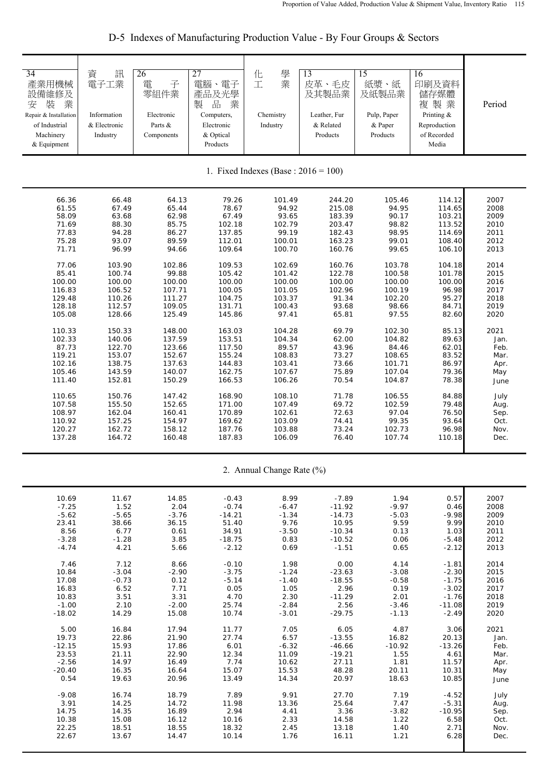| 34<br>產業用機械<br>設備維修及<br>業<br>装<br>安<br>Repair & Installation<br>of Industrial<br>Machinery<br>& Equipment | 資<br>訊<br>電子工業<br>Information<br>& Electronic<br>Industry | 26<br>電<br>子<br>零組件業<br>Electronic<br>Parts &<br>Components | 27<br>電腦、電子<br>產品及光學<br>品<br>製<br>業<br>Computers,<br>Electronic<br>& Optical<br>Products | 學<br>化<br>業<br>工<br>Chemistry<br>Industry | 13<br>皮革、毛皮<br>及其製品業<br>Leather, Fur<br>& Related<br>Products | 15<br>紙漿、紙<br>及紙製品業<br>Pulp, Paper<br>& Paper<br>Products | 16<br>印刷及資料<br>儲存媒體<br>複製業<br>Printing &<br>Reproduction<br>of Recorded<br>Media | Period |
|-----------------------------------------------------------------------------------------------------------|-----------------------------------------------------------|-------------------------------------------------------------|------------------------------------------------------------------------------------------|-------------------------------------------|---------------------------------------------------------------|-----------------------------------------------------------|----------------------------------------------------------------------------------|--------|
|                                                                                                           |                                                           |                                                             |                                                                                          | 1. Fixed Indexes (Base : $2016 = 100$ )   |                                                               |                                                           |                                                                                  |        |
| 66.36                                                                                                     | 66.48                                                     | 64.13                                                       | 79.26                                                                                    | 101.49                                    | 244.20                                                        | 105.46                                                    | 114.12                                                                           | 2007   |
| 61.55                                                                                                     | 67.49                                                     | 65.44                                                       | 78.67                                                                                    | 94.92                                     | 215.08                                                        | 94.95                                                     | 114.65                                                                           | 2008   |
| 58.09                                                                                                     | 63.68                                                     | 62.98                                                       | 67.49                                                                                    | 93.65                                     | 183.39                                                        | 90.17                                                     | 103.21                                                                           | 2009   |
| 71.69                                                                                                     | 88.30                                                     | 85.75                                                       | 102.18                                                                                   | 102.79                                    | 203.47                                                        | 98.82                                                     | 113.52                                                                           | 2010   |
| 77.83                                                                                                     | 94.28                                                     | 86.27                                                       | 137.85                                                                                   | 99.19                                     | 182.43                                                        | 98.95                                                     | 114.69                                                                           | 2011   |
| 75.28                                                                                                     | 93.07                                                     | 89.59                                                       | 112.01                                                                                   | 100.01                                    | 163.23                                                        | 99.01                                                     | 108.40                                                                           | 2012   |
| 71.71                                                                                                     | 96.99                                                     | 94.66                                                       | 109.64                                                                                   | 100.70                                    | 160.76                                                        | 99.65                                                     | 106.10                                                                           | 2013   |
| 77.06                                                                                                     | 103.90                                                    | 102.86                                                      | 109.53                                                                                   | 102.69                                    | 160.76                                                        | 103.78                                                    | 104.18                                                                           | 2014   |
| 85.41                                                                                                     | 100.74                                                    | 99.88                                                       | 105.42                                                                                   | 101.42                                    | 122.78                                                        | 100.58                                                    | 101.78                                                                           | 2015   |
| 100.00                                                                                                    | 100.00                                                    | 100.00                                                      | 100.00                                                                                   | 100.00                                    | 100.00                                                        | 100.00                                                    | 100.00                                                                           | 2016   |
| 116.83                                                                                                    | 106.52                                                    | 107.71                                                      | 100.05                                                                                   | 101.05                                    | 102.96                                                        | 100.19                                                    | 96.98                                                                            | 2017   |
| 129.48                                                                                                    | 110.26                                                    | 111.27                                                      | 104.75                                                                                   | 103.37                                    | 91.34                                                         | 102.20                                                    | 95.27                                                                            | 2018   |
| 128.18                                                                                                    | 112.57                                                    | 109.05                                                      | 131.71                                                                                   | 100.43                                    | 93.68                                                         | 98.66                                                     | 84.71                                                                            | 2019   |
| 105.08                                                                                                    | 128.66                                                    | 125.49                                                      | 145.86                                                                                   | 97.41                                     | 65.81                                                         | 97.55                                                     | 82.60                                                                            | 2020   |
| 110.33                                                                                                    | 150.33                                                    | 148.00                                                      | 163.03                                                                                   | 104.28                                    | 69.79                                                         | 102.30                                                    | 85.13                                                                            | 2021   |
| 102.33                                                                                                    | 140.06                                                    | 137.59                                                      | 153.51                                                                                   | 104.34                                    | 62.00                                                         | 104.82                                                    | 89.63                                                                            | Jan.   |
| 87.73                                                                                                     | 122.70                                                    | 123.66                                                      | 117.50                                                                                   | 89.57                                     | 43.96                                                         | 84.46                                                     | 62.01                                                                            | Feb.   |
| 119.21                                                                                                    | 153.07                                                    | 152.67                                                      | 155.24                                                                                   | 108.83                                    | 73.27                                                         | 108.65                                                    | 83.52                                                                            | Mar.   |
| 102.16                                                                                                    | 138.75                                                    | 137.63                                                      | 144.83                                                                                   | 103.41                                    | 73.66                                                         | 101.71                                                    | 86.97                                                                            | Apr.   |
| 105.46                                                                                                    | 143.59                                                    | 140.07                                                      | 162.75                                                                                   | 107.67                                    | 75.89                                                         | 107.04                                                    | 79.36                                                                            | May    |
| 111.40                                                                                                    | 152.81                                                    | 150.29                                                      | 166.53                                                                                   | 106.26                                    | 70.54                                                         | 104.87                                                    | 78.38                                                                            | June   |
| 110.65                                                                                                    | 150.76                                                    | 147.42                                                      | 168.90                                                                                   | 108.10                                    | 71.78                                                         | 106.55                                                    | 84.88                                                                            | July   |
| 107.58                                                                                                    | 155.50                                                    | 152.65                                                      | 171.00                                                                                   | 107.49                                    | 69.72                                                         | 102.59                                                    | 79.48                                                                            | Aug.   |
| 108.97                                                                                                    | 162.04                                                    | 160.41                                                      | 170.89                                                                                   | 102.61                                    | 72.63                                                         | 97.04                                                     | 76.50                                                                            | Sep.   |
| 110.92                                                                                                    | 157.25                                                    | 154.97                                                      | 169.62                                                                                   | 103.09                                    | 74.41                                                         | 99.35                                                     | 93.64                                                                            | Oct.   |
| 120.27                                                                                                    | 162.72                                                    | 158.12                                                      | 187.76                                                                                   | 103.88                                    | 73.24                                                         | 102.73                                                    | 96.98                                                                            | Nov.   |
| 137.28                                                                                                    | 164.72                                                    | 160.48                                                      | 187.83                                                                                   | 106.09                                    | 76.40                                                         | 107.74                                                    | 110.18                                                                           | Dec.   |

D-5 Indexes of Manufacturing Production Value - By Four Groups & Sectors

2. Annual Change Rate (%)

|          |                                                       |                                   |                                           |                                                  |                                            |                                                      |                                            | 2007                                    |
|----------|-------------------------------------------------------|-----------------------------------|-------------------------------------------|--------------------------------------------------|--------------------------------------------|------------------------------------------------------|--------------------------------------------|-----------------------------------------|
|          |                                                       |                                   |                                           |                                                  |                                            |                                                      |                                            | 2008                                    |
|          |                                                       |                                   |                                           |                                                  |                                            |                                                      |                                            | 2009                                    |
|          |                                                       |                                   |                                           |                                                  |                                            |                                                      |                                            | 2010                                    |
|          | 6.77                                                  |                                   |                                           | $-3.50$                                          |                                            |                                                      |                                            | 2011                                    |
| $-3.28$  | $-1.28$                                               | 3.85                              | $-18.75$                                  |                                                  | $-10.52$                                   | 0.06                                                 | $-5.48$                                    | 2012                                    |
| $-4.74$  | 4.21                                                  | 5.66                              | $-2.12$                                   | 0.69                                             | $-1.51$                                    | 0.65                                                 | $-2.12$                                    | 2013                                    |
|          |                                                       |                                   |                                           |                                                  |                                            |                                                      |                                            |                                         |
| 7.46     | 7.12                                                  | 8.66                              | $-0.10$                                   | 1.98                                             | 0.00                                       | 4.14                                                 | $-1.81$                                    | 2014                                    |
|          | $-3.04$                                               | $-2.90$                           | $-3.75$                                   | $-1.24$                                          | $-23.63$                                   | $-3.08$                                              | $-2.30$                                    | 2015                                    |
| 17.08    | $-0.73$                                               | 0.12                              | $-5.14$                                   | $-1.40$                                          | $-18.55$                                   | $-0.58$                                              | $-1.75$                                    | 2016                                    |
| 16.83    | 6.52                                                  | 7.71                              | 0.05                                      | 1.05                                             | 2.96                                       | 0.19                                                 | $-3.02$                                    | 2017                                    |
| 10.83    | 3.51                                                  | 3.31                              | 4.70                                      | 2.30                                             | $-11.29$                                   | 2.01                                                 | $-1.76$                                    | 2018                                    |
| $-1.00$  | 2.10                                                  | $-2.00$                           | 25.74                                     | $-2.84$                                          | 2.56                                       | $-3.46$                                              | $-11.08$                                   | 2019                                    |
| $-18.02$ | 14.29                                                 | 15.08                             | 10.74                                     | $-3.01$                                          | $-29.75$                                   | $-1.13$                                              | $-2.49$                                    | 2020                                    |
|          |                                                       |                                   |                                           |                                                  |                                            |                                                      |                                            |                                         |
| 5.00     | 16.84                                                 | 17.94                             | 11.77                                     | 7.05                                             | 6.05                                       | 4.87                                                 | 3.06                                       | 2021                                    |
| 19.73    | 22.86                                                 | 21.90                             | 27.74                                     | 6.57                                             | $-13.55$                                   | 16.82                                                | 20.13                                      | Jan.                                    |
| $-12.15$ | 15.93                                                 | 17.86                             | 6.01                                      | $-6.32$                                          | $-46.66$                                   | $-10.92$                                             | $-13.26$                                   | Feb.                                    |
| 23.53    | 21.11                                                 | 22.90                             | 12.34                                     | 11.09                                            | $-19.21$                                   | 1.55                                                 | 4.61                                       | Mar.                                    |
| $-2.56$  | 14.97                                                 | 16.49                             | 7.74                                      | 10.62                                            | 27.11                                      | 1.81                                                 | 11.57                                      | Apr.                                    |
| $-20.40$ | 16.35                                                 | 16.64                             | 15.07                                     | 15.53                                            | 48.28                                      | 20.11                                                | 10.31                                      | May                                     |
| 0.54     | 19.63                                                 | 20.96                             | 13.49                                     | 14.34                                            | 20.97                                      | 18.63                                                | 10.85                                      | June                                    |
|          |                                                       |                                   |                                           |                                                  |                                            |                                                      |                                            |                                         |
| $-9.08$  | 16.74                                                 | 18.79                             | 7.89                                      | 9.91                                             | 27.70                                      | 7.19                                                 | $-4.52$                                    | July                                    |
| 3.91     | 14.25                                                 | 14.72                             | 11.98                                     | 13.36                                            | 25.64                                      | 7.47                                                 | $-5.31$                                    | Aug.                                    |
| 14.75    | 14.35                                                 | 16.89                             | 2.94                                      | 4.41                                             | 3.36                                       | $-3.82$                                              | $-10.95$                                   | Sep.                                    |
| 10.38    | 15.08                                                 | 16.12                             | 10.16                                     | 2.33                                             | 14.58                                      | 1.22                                                 | 6.58                                       | Oct.                                    |
| 22.25    | 18.51                                                 | 18.55                             | 18.32                                     | 2.45                                             | 13.18                                      | 1.40                                                 | 2.71                                       | Nov.                                    |
| 22.67    | 13.67                                                 | 14.47                             | 10.14                                     | 1.76                                             | 16.11                                      | 1.21                                                 | 6.28                                       | Dec.                                    |
|          |                                                       |                                   |                                           |                                                  |                                            |                                                      |                                            |                                         |
|          | 10.69<br>$-7.25$<br>$-5.62$<br>23.41<br>8.56<br>10.84 | 11.67<br>1.52<br>$-5.65$<br>38.66 | 14.85<br>2.04<br>$-3.76$<br>36.15<br>0.61 | $-0.43$<br>$-0.74$<br>$-14.21$<br>51.40<br>34.91 | 8.99<br>$-6.47$<br>$-1.34$<br>9.76<br>0.83 | $-7.89$<br>$-11.92$<br>$-14.73$<br>10.95<br>$-10.34$ | 1.94<br>$-9.97$<br>$-5.03$<br>9.59<br>0.13 | 0.57<br>0.46<br>$-9.98$<br>9.99<br>1.03 |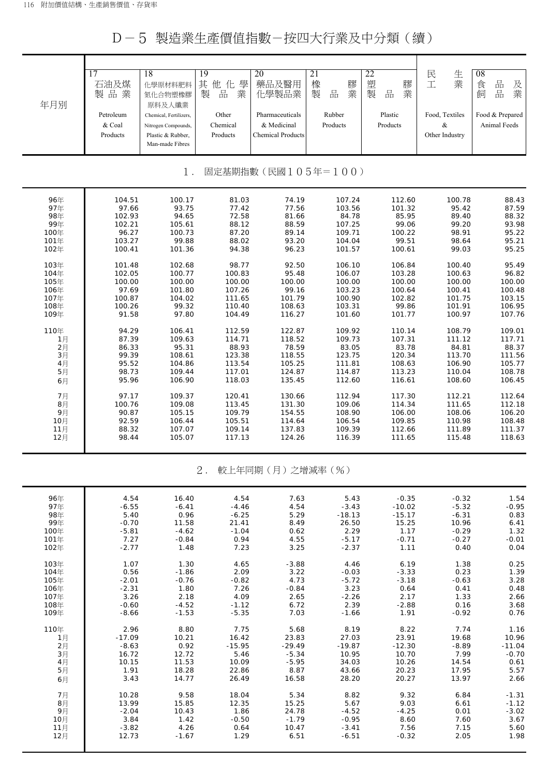D-5 製造業生產價值指數-按四大行業及中分類(續)

| 年月別                         | 17<br>石油及煤<br>製品業<br>Petroleum<br>& Coal<br>Products | 18<br>化學原材料肥料<br>氮化合物塑橡膠<br>原料及人纖業<br>Chemical, Fertilizers,<br>Nitrogen Compounds,<br>Plastic & Rubber,<br>Man-made Fibres | 19<br>其<br>他化<br>學<br>製<br>業<br>品<br>Other<br>Chemical<br>Products | 20<br>藥品及醫用<br>化學製品業<br>Pharmaceuticals<br>& Medicinal<br><b>Chemical Products</b> | 21<br>橡<br>膠<br>業<br>製<br>品<br>Rubber<br>Products | 22<br>塑<br>膠<br>業<br>製<br>品<br>Plastic<br>Products | 生業<br>民<br>工<br>Food, Textiles<br>$\&$<br>Other Industry | 08<br>$\frac{\Box}{\Box \Box}$<br>食<br>及<br>業<br>品<br>飼<br>Food & Prepared<br>Animal Feeds |  |
|-----------------------------|------------------------------------------------------|-----------------------------------------------------------------------------------------------------------------------------|--------------------------------------------------------------------|------------------------------------------------------------------------------------|---------------------------------------------------|----------------------------------------------------|----------------------------------------------------------|--------------------------------------------------------------------------------------------|--|
| 固定基期指數(民國105年=100)<br>$1$ . |                                                      |                                                                                                                             |                                                                    |                                                                                    |                                                   |                                                    |                                                          |                                                                                            |  |
| 96年                         | 104.51                                               | 100.17                                                                                                                      | 81.03                                                              | 74.19                                                                              | 107.24                                            | 112.60                                             | 100.78                                                   | 88.43                                                                                      |  |
| 97年                         | 97.66                                                | 93.75                                                                                                                       | 77.42                                                              | 77.56                                                                              | 103.56                                            | 101.32                                             | 95.42                                                    | 87.59                                                                                      |  |
| 98年                         | 102.93                                               | 94.65                                                                                                                       | 72.58                                                              | 81.66                                                                              | 84.78                                             | 85.95                                              | 89.40                                                    | 88.32                                                                                      |  |
| 99年                         | 102.21                                               | 105.61                                                                                                                      | 88.12                                                              | 88.59                                                                              | 107.25                                            | 99.06                                              | 99.20                                                    | 93.98                                                                                      |  |
| 100年                        | 96.27                                                | 100.73                                                                                                                      | 87.20                                                              | 89.14                                                                              | 109.71                                            | 100.22                                             | 98.91                                                    | 95.22                                                                                      |  |
| 101年                        | 103.27                                               | 99.88                                                                                                                       | 88.02                                                              | 93.20                                                                              | 104.04                                            | 99.51                                              | 98.64                                                    | 95.21                                                                                      |  |
| 102年                        | 100.41                                               | 101.36                                                                                                                      | 94.38                                                              | 96.23                                                                              | 101.57                                            | 100.61                                             | 99.03                                                    | 95.25                                                                                      |  |
| 103年                        | 101.48                                               | 102.68                                                                                                                      | 98.77                                                              | 92.50                                                                              | 106.10                                            | 106.84                                             | 100.40                                                   | 95.49                                                                                      |  |
| 104年                        | 102.05                                               | 100.77                                                                                                                      | 100.83                                                             | 95.48                                                                              | 106.07                                            | 103.28                                             | 100.63                                                   | 96.82                                                                                      |  |
| 105年                        | 100.00                                               | 100.00                                                                                                                      | 100.00                                                             | 100.00                                                                             | 100.00                                            | 100.00                                             | 100.00                                                   | 100.00                                                                                     |  |
| 106年                        | 97.69                                                | 101.80                                                                                                                      | 107.26                                                             | 99.16                                                                              | 103.23                                            | 100.64                                             | 100.41                                                   | 100.48                                                                                     |  |
| 107年                        | 100.87                                               | 104.02                                                                                                                      | 111.65                                                             | 101.79                                                                             | 100.90                                            | 102.82                                             | 101.75                                                   | 103.15                                                                                     |  |
| 108年                        | 100.26                                               | 99.32                                                                                                                       | 110.40                                                             | 108.63                                                                             | 103.31                                            | 99.86                                              | 101.91                                                   | 106.95                                                                                     |  |
| 109年                        | 91.58                                                | 97.80                                                                                                                       | 104.49                                                             | 116.27                                                                             | 101.60                                            | 101.77                                             | 100.97                                                   | 107.76                                                                                     |  |
| 110年                        | 94.29                                                | 106.41                                                                                                                      | 112.59                                                             | 122.87                                                                             | 109.92                                            | 110.14                                             | 108.79                                                   | 109.01                                                                                     |  |
| 1月                          | 87.39                                                | 109.63                                                                                                                      | 114.71                                                             | 118.52                                                                             | 109.73                                            | 107.31                                             | 111.12                                                   | 117.71                                                                                     |  |
| 2月                          | 86.33                                                | 95.31                                                                                                                       | 88.93                                                              | 78.59                                                                              | 83.05                                             | 83.78                                              | 84.81                                                    | 88.37                                                                                      |  |
| 3月                          | 99.39                                                | 108.61                                                                                                                      | 123.38                                                             | 118.55                                                                             | 123.75                                            | 120.34                                             | 113.70                                                   | 111.56                                                                                     |  |
| 4月                          | 95.52                                                | 104.86                                                                                                                      | 113.54                                                             | 105.25                                                                             | 111.81                                            | 108.63                                             | 106.90                                                   | 105.77                                                                                     |  |
| 5月                          | 98.73                                                | 109.44                                                                                                                      | 117.01                                                             | 124.87                                                                             | 114.87                                            | 113.23                                             | 110.04                                                   | 108.78                                                                                     |  |
| 6月                          | 95.96                                                | 106.90                                                                                                                      | 118.03                                                             | 135.45                                                                             | 112.60                                            | 116.61                                             | 108.60                                                   | 106.45                                                                                     |  |
| 7月                          | 97.17                                                | 109.37                                                                                                                      | 120.41                                                             | 130.66                                                                             | 112.94                                            | 117.30                                             | 112.21                                                   | 112.64                                                                                     |  |
| 8月                          | 100.76                                               | 109.08                                                                                                                      | 113.45                                                             | 131.30                                                                             | 109.06                                            | 114.34                                             | 111.65                                                   | 112.18                                                                                     |  |
| 9月                          | 90.87                                                | 105.15                                                                                                                      | 109.79                                                             | 154.55                                                                             | 108.90                                            | 106.00                                             | 108.06                                                   | 106.20                                                                                     |  |
| 10月                         | 92.59                                                | 106.44                                                                                                                      | 105.51                                                             | 114.64                                                                             | 106.54                                            | 109.85                                             | 110.98                                                   | 108.48                                                                                     |  |
| 11月                         | 88.32                                                | 107.07                                                                                                                      | 109.14                                                             | 137.83                                                                             | 109.39                                            | 112.66                                             | 111.89                                                   | 111.37                                                                                     |  |
| 12月                         | 98.44                                                | 105.07                                                                                                                      | 117.13                                                             | 124.26                                                                             | 116.39                                            | 111.65                                             | 115.48                                                   | 118.63                                                                                     |  |
|                             |                                                      |                                                                                                                             | 2.                                                                 | 較上年同期(月)之增減率(%)                                                                    |                                                   |                                                    |                                                          |                                                                                            |  |
| 96年                         | 4.54                                                 | 16.40                                                                                                                       | 4.54                                                               | 7.63                                                                               | 5.43                                              | $-0.35$                                            | $-0.32$                                                  | 1.54                                                                                       |  |
| 97年                         | $-6.55$                                              | $-6.41$                                                                                                                     | $-4.46$                                                            | 4.54                                                                               | $-3.43$                                           | $-10.02$                                           | $-5.32$                                                  | $-0.95$                                                                                    |  |
| 98年                         | 5.40                                                 | 0.96                                                                                                                        | $-6.25$                                                            | 5.29                                                                               | $-18.13$                                          | $-15.17$                                           | $-6.31$                                                  | 0.83                                                                                       |  |
| 99年                         | $-0.70$                                              | 11.58                                                                                                                       | 21.41                                                              | 8.49                                                                               | 26.50                                             | 15.25                                              | 10.96                                                    | 6.41                                                                                       |  |
| 100年                        | $-5.81$                                              | $-4.62$                                                                                                                     | $-1.04$                                                            | 0.62                                                                               | 2.29                                              | 1.17                                               | $-0.29$                                                  | 1.32                                                                                       |  |
| 101年                        | 7.27                                                 | $-0.84$                                                                                                                     | 0.94                                                               | 4.55                                                                               | $-5.17$                                           | $-0.71$                                            | $-0.27$                                                  | $-0.01$                                                                                    |  |
| 102年                        | $-2.77$                                              | 1.48                                                                                                                        | 7.23                                                               | 3.25                                                                               | $-2.37$                                           | 1.11                                               | 0.40                                                     | 0.04                                                                                       |  |
| 103年                        | 1.07                                                 | 1.30                                                                                                                        | 4.65                                                               | $-3.88$                                                                            | 4.46                                              | 6.19                                               | 1.38                                                     | 0.25                                                                                       |  |
| 104年                        | 0.56                                                 | $-1.86$                                                                                                                     | 2.09                                                               | 3.22                                                                               | $-0.03$                                           | $-3.33$                                            | 0.23                                                     | 1.39                                                                                       |  |
| 105年                        | $-2.01$                                              | $-0.76$                                                                                                                     | $-0.82$                                                            | 4.73                                                                               | $-5.72$                                           | $-3.18$                                            | $-0.63$                                                  | 3.28                                                                                       |  |
| 106年                        | $-2.31$                                              | 1.80                                                                                                                        | 7.26                                                               | $-0.84$                                                                            | 3.23                                              | 0.64                                               | 0.41                                                     | 0.48                                                                                       |  |
| 107年                        | 3.26                                                 | 2.18                                                                                                                        | 4.09                                                               | 2.65                                                                               | $-2.26$                                           | 2.17                                               | 1.33                                                     | 2.66                                                                                       |  |
| 108年                        | $-0.60$                                              | $-4.52$                                                                                                                     | $-1.12$                                                            | 6.72                                                                               | 2.39                                              | $-2.88$                                            | 0.16                                                     | 3.68                                                                                       |  |
| 109年                        | $-8.66$                                              | $-1.53$                                                                                                                     | $-5.35$                                                            | 7.03                                                                               | $-1.66$                                           | 1.91                                               | $-0.92$                                                  | 0.76                                                                                       |  |
| 110年                        | 2.96                                                 | 8.80                                                                                                                        | 7.75                                                               | 5.68                                                                               | 8.19                                              | 8.22                                               | 7.74                                                     | 1.16                                                                                       |  |
| 1月                          | $-17.09$                                             | 10.21                                                                                                                       | 16.42                                                              | 23.83                                                                              | 27.03                                             | 23.91                                              | 19.68                                                    | 10.96                                                                                      |  |
| 2月                          | $-8.63$                                              | 0.92                                                                                                                        | $-15.95$                                                           | $-29.49$                                                                           | $-19.87$                                          | $-12.30$                                           | $-8.89$                                                  | $-11.04$                                                                                   |  |
| 3月                          | 16.72                                                | 12.72                                                                                                                       | 5.46                                                               | $-5.34$                                                                            | 10.95                                             | 10.70                                              | 7.99                                                     | $-0.70$                                                                                    |  |
| 4月                          | 10.15                                                | 11.53                                                                                                                       | 10.09                                                              | $-5.95$                                                                            | 34.03                                             | 10.26                                              | 14.54                                                    | 0.61                                                                                       |  |
| 5月                          | 1.91                                                 | 18.28                                                                                                                       | 22.86                                                              | 8.87                                                                               | 43.66                                             | 20.23                                              | 17.95                                                    | 5.57                                                                                       |  |
| 6月                          | 3.43                                                 | 14.77                                                                                                                       | 26.49                                                              | 16.58                                                                              | 28.20                                             | 20.27                                              | 13.97                                                    | 2.66                                                                                       |  |
| 7月                          | 10.28                                                | 9.58                                                                                                                        | 18.04                                                              | 5.34                                                                               | 8.82                                              | 9.32                                               | 6.84                                                     | $-1.31$                                                                                    |  |
| 8月                          | 13.99                                                | 15.85                                                                                                                       | 12.35                                                              | 15.25                                                                              | 5.67                                              | 9.03                                               | 6.61                                                     | $-1.12$                                                                                    |  |
| 9月                          | $-2.04$                                              | 10.43                                                                                                                       | 1.86                                                               | 24.78                                                                              | $-4.52$                                           | $-4.25$                                            | 0.01                                                     | $-3.02$                                                                                    |  |
| 10月                         | 3.84                                                 | 1.42                                                                                                                        | $-0.50$                                                            | $-1.79$                                                                            | $-0.95$                                           | 8.60                                               | 7.60                                                     | 3.67                                                                                       |  |
| 11月                         | $-3.82$                                              | 4.26                                                                                                                        | 0.64                                                               | 10.47                                                                              | $-3.41$                                           | 7.56                                               | 7.15                                                     | 5.60                                                                                       |  |
| 12月                         | 12.73                                                | $-1.67$                                                                                                                     | 1.29                                                               | 6.51                                                                               | $-6.51$                                           | $-0.32$                                            | 2.05                                                     | 1.98                                                                                       |  |